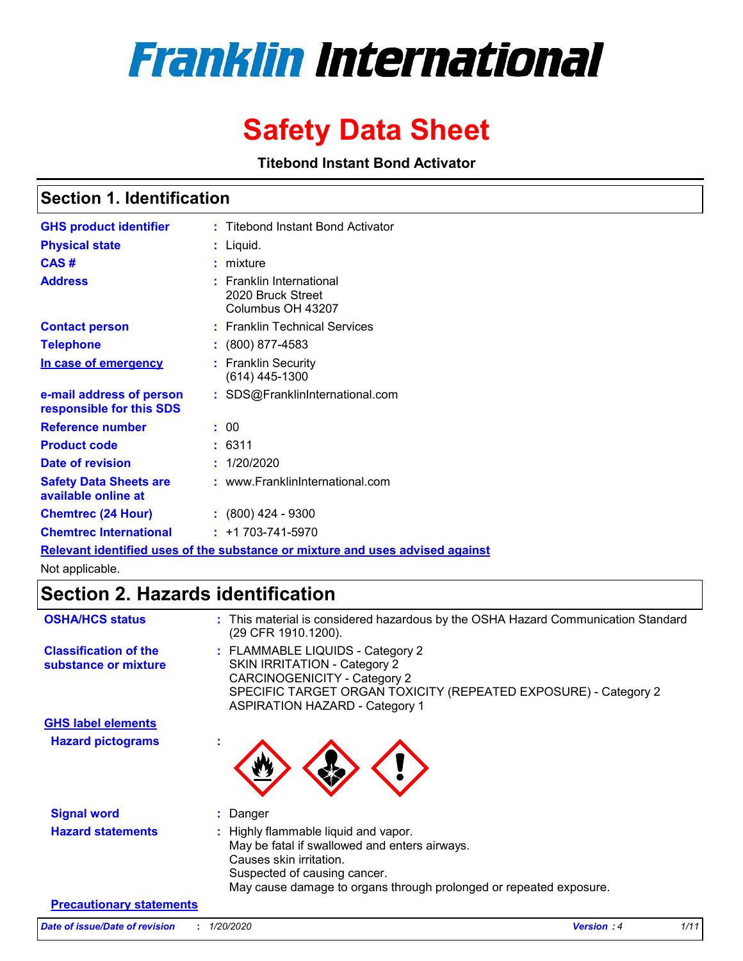# **Franklin International**

## **Safety Data Sheet**

**Titebond Instant Bond Activator**

### **Section 1. Identification**

| <b>GHS product identifier</b>                        | : Titebond Instant Bond Activator                                       |
|------------------------------------------------------|-------------------------------------------------------------------------|
| <b>Physical state</b>                                | Liquid.                                                                 |
| CAS#                                                 | mixture                                                                 |
| <b>Address</b>                                       | <b>Franklin International</b><br>2020 Bruck Street<br>Columbus OH 43207 |
| <b>Contact person</b>                                | : Franklin Technical Services                                           |
| <b>Telephone</b>                                     | $\div$ (800) 877-4583                                                   |
| In case of emergency                                 | <b>Franklin Security</b><br>(614) 445-1300                              |
| e-mail address of person<br>responsible for this SDS | SDS@FranklinInternational.com                                           |
| Reference number                                     | : 00                                                                    |
| <b>Product code</b>                                  | 6311                                                                    |
| Date of revision                                     | 1/20/2020                                                               |
| <b>Safety Data Sheets are</b><br>available online at | : www.FranklinInternational.com                                         |
| <b>Chemtrec (24 Hour)</b>                            | $\div$ (800) 424 - 9300                                                 |
| <b>Chemtrec International</b>                        | $: +1703 - 741 - 5970$                                                  |
|                                                      |                                                                         |

**Relevant identified uses of the substance or mixture and uses advised against**

Not applicable.

### **Section 2. Hazards identification**

| <b>OSHA/HCS status</b>                               | : This material is considered hazardous by the OSHA Hazard Communication Standard<br>(29 CFR 1910.1200).                                                                                                               |
|------------------------------------------------------|------------------------------------------------------------------------------------------------------------------------------------------------------------------------------------------------------------------------|
| <b>Classification of the</b><br>substance or mixture | : FLAMMABLE LIQUIDS - Category 2<br>SKIN IRRITATION - Category 2<br><b>CARCINOGENICITY - Category 2</b><br>SPECIFIC TARGET ORGAN TOXICITY (REPEATED EXPOSURE) - Category 2<br><b>ASPIRATION HAZARD - Category 1</b>    |
| <b>GHS label elements</b>                            |                                                                                                                                                                                                                        |
| <b>Hazard pictograms</b>                             |                                                                                                                                                                                                                        |
| <b>Signal word</b>                                   | : Danger                                                                                                                                                                                                               |
| <b>Hazard statements</b>                             | : Highly flammable liquid and vapor.<br>May be fatal if swallowed and enters airways.<br>Causes skin irritation.<br>Suspected of causing cancer.<br>May cause damage to organs through prolonged or repeated exposure. |
| <b>Precautionary statements</b>                      |                                                                                                                                                                                                                        |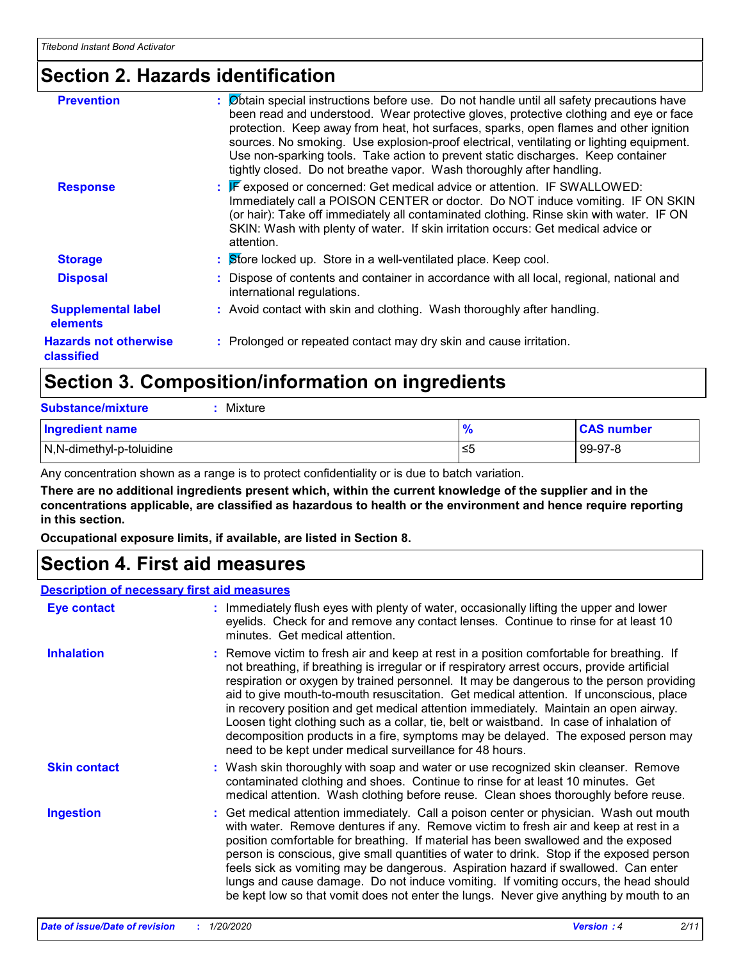### **Section 2. Hazards identification**

| <b>Prevention</b>                          | : Øbtain special instructions before use. Do not handle until all safety precautions have<br>been read and understood. Wear protective gloves, protective clothing and eye or face<br>protection. Keep away from heat, hot surfaces, sparks, open flames and other ignition<br>sources. No smoking. Use explosion-proof electrical, ventilating or lighting equipment.<br>Use non-sparking tools. Take action to prevent static discharges. Keep container<br>tightly closed. Do not breathe vapor. Wash thoroughly after handling. |
|--------------------------------------------|-------------------------------------------------------------------------------------------------------------------------------------------------------------------------------------------------------------------------------------------------------------------------------------------------------------------------------------------------------------------------------------------------------------------------------------------------------------------------------------------------------------------------------------|
| <b>Response</b>                            | $\mathbb{F}$ exposed or concerned: Get medical advice or attention. IF SWALLOWED:<br>Immediately call a POISON CENTER or doctor. Do NOT induce vomiting. IF ON SKIN<br>(or hair): Take off immediately all contaminated clothing. Rinse skin with water. IF ON<br>SKIN: Wash with plenty of water. If skin irritation occurs: Get medical advice or<br>attention.                                                                                                                                                                   |
| <b>Storage</b>                             | : Store locked up. Store in a well-ventilated place. Keep cool.                                                                                                                                                                                                                                                                                                                                                                                                                                                                     |
| <b>Disposal</b>                            | : Dispose of contents and container in accordance with all local, regional, national and<br>international regulations.                                                                                                                                                                                                                                                                                                                                                                                                              |
| <b>Supplemental label</b><br>elements      | : Avoid contact with skin and clothing. Wash thoroughly after handling.                                                                                                                                                                                                                                                                                                                                                                                                                                                             |
| <b>Hazards not otherwise</b><br>classified | : Prolonged or repeated contact may dry skin and cause irritation.                                                                                                                                                                                                                                                                                                                                                                                                                                                                  |
|                                            |                                                                                                                                                                                                                                                                                                                                                                                                                                                                                                                                     |

### **Section 3. Composition/information on ingredients**

| <b>Substance/mixture</b><br>Mixture |    |                   |
|-------------------------------------|----|-------------------|
| Ingredient name                     | 70 | <b>CAS number</b> |
| $\sqrt{N}$ . N-dimethyl-p-toluidine | ≤5 | 99-97-8           |

Any concentration shown as a range is to protect confidentiality or is due to batch variation.

**There are no additional ingredients present which, within the current knowledge of the supplier and in the concentrations applicable, are classified as hazardous to health or the environment and hence require reporting in this section.**

**Occupational exposure limits, if available, are listed in Section 8.**

### **Section 4. First aid measures**

#### **Description of necessary first aid measures**

| Eye contact         | : Immediately flush eyes with plenty of water, occasionally lifting the upper and lower<br>eyelids. Check for and remove any contact lenses. Continue to rinse for at least 10<br>minutes. Get medical attention.                                                                                                                                                                                                                                                                                                                                                                                                                                                                                                   |
|---------------------|---------------------------------------------------------------------------------------------------------------------------------------------------------------------------------------------------------------------------------------------------------------------------------------------------------------------------------------------------------------------------------------------------------------------------------------------------------------------------------------------------------------------------------------------------------------------------------------------------------------------------------------------------------------------------------------------------------------------|
| <b>Inhalation</b>   | : Remove victim to fresh air and keep at rest in a position comfortable for breathing. If<br>not breathing, if breathing is irregular or if respiratory arrest occurs, provide artificial<br>respiration or oxygen by trained personnel. It may be dangerous to the person providing<br>aid to give mouth-to-mouth resuscitation. Get medical attention. If unconscious, place<br>in recovery position and get medical attention immediately. Maintain an open airway.<br>Loosen tight clothing such as a collar, tie, belt or waistband. In case of inhalation of<br>decomposition products in a fire, symptoms may be delayed. The exposed person may<br>need to be kept under medical surveillance for 48 hours. |
| <b>Skin contact</b> | : Wash skin thoroughly with soap and water or use recognized skin cleanser. Remove<br>contaminated clothing and shoes. Continue to rinse for at least 10 minutes. Get<br>medical attention. Wash clothing before reuse. Clean shoes thoroughly before reuse.                                                                                                                                                                                                                                                                                                                                                                                                                                                        |
| <b>Ingestion</b>    | : Get medical attention immediately. Call a poison center or physician. Wash out mouth<br>with water. Remove dentures if any. Remove victim to fresh air and keep at rest in a<br>position comfortable for breathing. If material has been swallowed and the exposed<br>person is conscious, give small quantities of water to drink. Stop if the exposed person<br>feels sick as vomiting may be dangerous. Aspiration hazard if swallowed. Can enter<br>lungs and cause damage. Do not induce vomiting. If vomiting occurs, the head should<br>be kept low so that vomit does not enter the lungs. Never give anything by mouth to an                                                                             |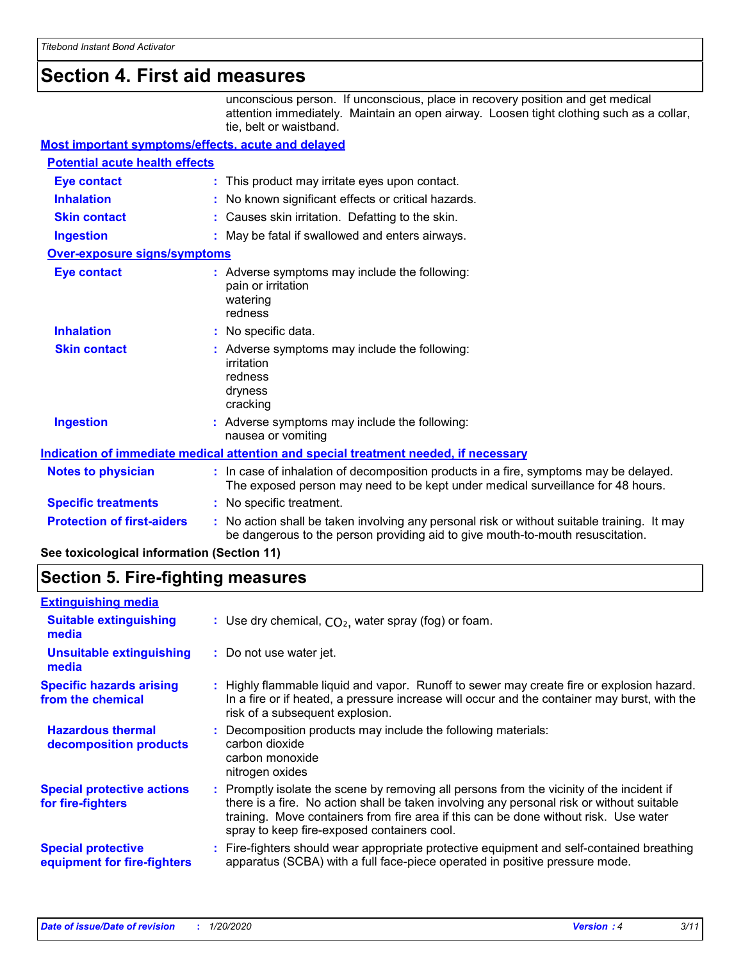### **Section 4. First aid measures**

unconscious person. If unconscious, place in recovery position and get medical attention immediately. Maintain an open airway. Loosen tight clothing such as a collar, tie, belt or waistband.

#### **Most important symptoms/effects, acute and delayed**

| <b>Potential acute health effects</b>                                                |  |                                                                                                                                                                               |  |  |
|--------------------------------------------------------------------------------------|--|-------------------------------------------------------------------------------------------------------------------------------------------------------------------------------|--|--|
| <b>Eye contact</b>                                                                   |  | : This product may irritate eyes upon contact.                                                                                                                                |  |  |
| <b>Inhalation</b>                                                                    |  | : No known significant effects or critical hazards.                                                                                                                           |  |  |
| <b>Skin contact</b>                                                                  |  | : Causes skin irritation. Defatting to the skin.                                                                                                                              |  |  |
| <b>Ingestion</b>                                                                     |  | : May be fatal if swallowed and enters airways.                                                                                                                               |  |  |
| <b>Over-exposure signs/symptoms</b>                                                  |  |                                                                                                                                                                               |  |  |
| <b>Eye contact</b>                                                                   |  | : Adverse symptoms may include the following:<br>pain or irritation<br>watering<br>redness                                                                                    |  |  |
| <b>Inhalation</b>                                                                    |  | : No specific data.                                                                                                                                                           |  |  |
| <b>Skin contact</b>                                                                  |  | : Adverse symptoms may include the following:<br>irritation<br>redness<br>dryness<br>cracking                                                                                 |  |  |
| <b>Ingestion</b>                                                                     |  | : Adverse symptoms may include the following:<br>nausea or vomiting                                                                                                           |  |  |
| Indication of immediate medical attention and special treatment needed, if necessary |  |                                                                                                                                                                               |  |  |
| <b>Notes to physician</b>                                                            |  | : In case of inhalation of decomposition products in a fire, symptoms may be delayed.<br>The exposed person may need to be kept under medical surveillance for 48 hours.      |  |  |
| <b>Specific treatments</b>                                                           |  | : No specific treatment.                                                                                                                                                      |  |  |
| <b>Protection of first-aiders</b>                                                    |  | : No action shall be taken involving any personal risk or without suitable training. It may<br>be dangerous to the person providing aid to give mouth-to-mouth resuscitation. |  |  |
| See toxicological information (Section 11)                                           |  |                                                                                                                                                                               |  |  |

### **Section 5. Fire-fighting measures**

| <b>Extinguishing media</b>                               |                                                                                                                                                                                                                                                                                                                               |
|----------------------------------------------------------|-------------------------------------------------------------------------------------------------------------------------------------------------------------------------------------------------------------------------------------------------------------------------------------------------------------------------------|
| <b>Suitable extinguishing</b><br>media                   | : Use dry chemical, $CO2$ , water spray (fog) or foam.                                                                                                                                                                                                                                                                        |
| <b>Unsuitable extinguishing</b><br>media                 | : Do not use water jet.                                                                                                                                                                                                                                                                                                       |
| <b>Specific hazards arising</b><br>from the chemical     | : Highly flammable liquid and vapor. Runoff to sewer may create fire or explosion hazard.<br>In a fire or if heated, a pressure increase will occur and the container may burst, with the<br>risk of a subsequent explosion.                                                                                                  |
| <b>Hazardous thermal</b><br>decomposition products       | Decomposition products may include the following materials:<br>carbon dioxide<br>carbon monoxide<br>nitrogen oxides                                                                                                                                                                                                           |
| <b>Special protective actions</b><br>for fire-fighters   | : Promptly isolate the scene by removing all persons from the vicinity of the incident if<br>there is a fire. No action shall be taken involving any personal risk or without suitable<br>training. Move containers from fire area if this can be done without risk. Use water<br>spray to keep fire-exposed containers cool. |
| <b>Special protective</b><br>equipment for fire-fighters | : Fire-fighters should wear appropriate protective equipment and self-contained breathing<br>apparatus (SCBA) with a full face-piece operated in positive pressure mode.                                                                                                                                                      |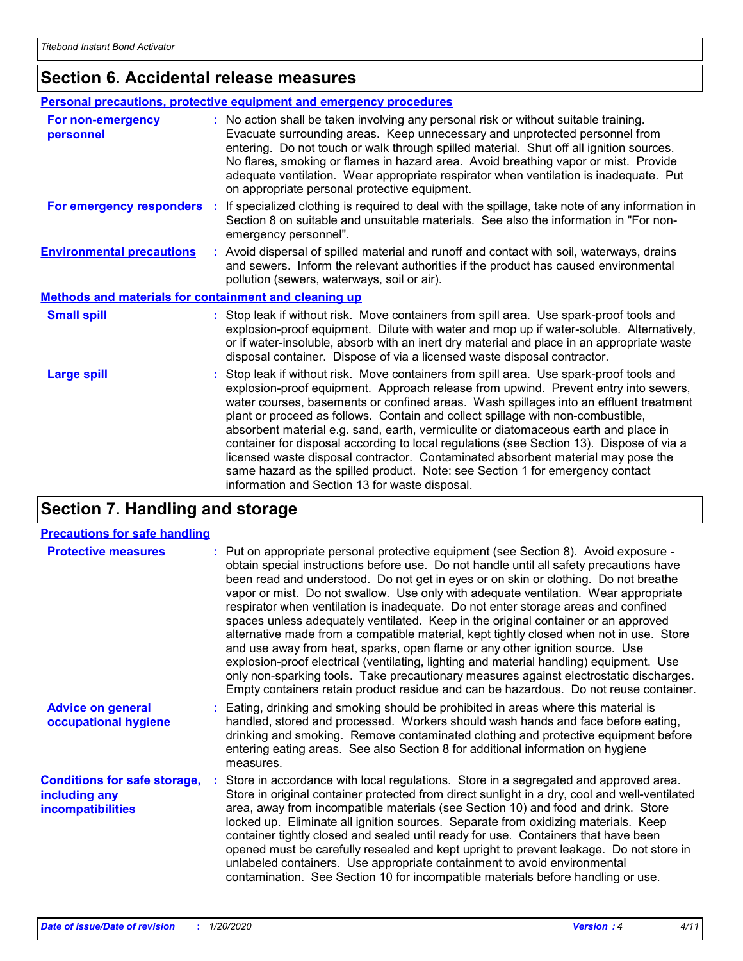### **Section 6. Accidental release measures**

| Personal precautions, protective equipment and emergency procedures |                                                                                                                                                                                                                                                                                                                                                                                                                                                                                                                                                                                                                                                                                                                                                                    |  |
|---------------------------------------------------------------------|--------------------------------------------------------------------------------------------------------------------------------------------------------------------------------------------------------------------------------------------------------------------------------------------------------------------------------------------------------------------------------------------------------------------------------------------------------------------------------------------------------------------------------------------------------------------------------------------------------------------------------------------------------------------------------------------------------------------------------------------------------------------|--|
| For non-emergency<br>personnel                                      | : No action shall be taken involving any personal risk or without suitable training.<br>Evacuate surrounding areas. Keep unnecessary and unprotected personnel from<br>entering. Do not touch or walk through spilled material. Shut off all ignition sources.<br>No flares, smoking or flames in hazard area. Avoid breathing vapor or mist. Provide<br>adequate ventilation. Wear appropriate respirator when ventilation is inadequate. Put<br>on appropriate personal protective equipment.                                                                                                                                                                                                                                                                    |  |
| For emergency responders :                                          | If specialized clothing is required to deal with the spillage, take note of any information in<br>Section 8 on suitable and unsuitable materials. See also the information in "For non-<br>emergency personnel".                                                                                                                                                                                                                                                                                                                                                                                                                                                                                                                                                   |  |
| <b>Environmental precautions</b>                                    | : Avoid dispersal of spilled material and runoff and contact with soil, waterways, drains<br>and sewers. Inform the relevant authorities if the product has caused environmental<br>pollution (sewers, waterways, soil or air).                                                                                                                                                                                                                                                                                                                                                                                                                                                                                                                                    |  |
| Methods and materials for containment and cleaning up               |                                                                                                                                                                                                                                                                                                                                                                                                                                                                                                                                                                                                                                                                                                                                                                    |  |
| <b>Small spill</b>                                                  | : Stop leak if without risk. Move containers from spill area. Use spark-proof tools and<br>explosion-proof equipment. Dilute with water and mop up if water-soluble. Alternatively,<br>or if water-insoluble, absorb with an inert dry material and place in an appropriate waste<br>disposal container. Dispose of via a licensed waste disposal contractor.                                                                                                                                                                                                                                                                                                                                                                                                      |  |
| <b>Large spill</b>                                                  | Stop leak if without risk. Move containers from spill area. Use spark-proof tools and<br>explosion-proof equipment. Approach release from upwind. Prevent entry into sewers,<br>water courses, basements or confined areas. Wash spillages into an effluent treatment<br>plant or proceed as follows. Contain and collect spillage with non-combustible,<br>absorbent material e.g. sand, earth, vermiculite or diatomaceous earth and place in<br>container for disposal according to local regulations (see Section 13). Dispose of via a<br>licensed waste disposal contractor. Contaminated absorbent material may pose the<br>same hazard as the spilled product. Note: see Section 1 for emergency contact<br>information and Section 13 for waste disposal. |  |

### **Section 7. Handling and storage**

#### **Precautions for safe handling**

| <b>Protective measures</b>                                                       | : Put on appropriate personal protective equipment (see Section 8). Avoid exposure -<br>obtain special instructions before use. Do not handle until all safety precautions have<br>been read and understood. Do not get in eyes or on skin or clothing. Do not breathe<br>vapor or mist. Do not swallow. Use only with adequate ventilation. Wear appropriate<br>respirator when ventilation is inadequate. Do not enter storage areas and confined<br>spaces unless adequately ventilated. Keep in the original container or an approved<br>alternative made from a compatible material, kept tightly closed when not in use. Store<br>and use away from heat, sparks, open flame or any other ignition source. Use<br>explosion-proof electrical (ventilating, lighting and material handling) equipment. Use<br>only non-sparking tools. Take precautionary measures against electrostatic discharges.<br>Empty containers retain product residue and can be hazardous. Do not reuse container. |
|----------------------------------------------------------------------------------|----------------------------------------------------------------------------------------------------------------------------------------------------------------------------------------------------------------------------------------------------------------------------------------------------------------------------------------------------------------------------------------------------------------------------------------------------------------------------------------------------------------------------------------------------------------------------------------------------------------------------------------------------------------------------------------------------------------------------------------------------------------------------------------------------------------------------------------------------------------------------------------------------------------------------------------------------------------------------------------------------|
| <b>Advice on general</b><br>occupational hygiene                                 | : Eating, drinking and smoking should be prohibited in areas where this material is<br>handled, stored and processed. Workers should wash hands and face before eating,<br>drinking and smoking. Remove contaminated clothing and protective equipment before<br>entering eating areas. See also Section 8 for additional information on hygiene<br>measures.                                                                                                                                                                                                                                                                                                                                                                                                                                                                                                                                                                                                                                      |
| <b>Conditions for safe storage,</b><br>including any<br><b>incompatibilities</b> | Store in accordance with local regulations. Store in a segregated and approved area.<br>Store in original container protected from direct sunlight in a dry, cool and well-ventilated<br>area, away from incompatible materials (see Section 10) and food and drink. Store<br>locked up. Eliminate all ignition sources. Separate from oxidizing materials. Keep<br>container tightly closed and sealed until ready for use. Containers that have been<br>opened must be carefully resealed and kept upright to prevent leakage. Do not store in<br>unlabeled containers. Use appropriate containment to avoid environmental<br>contamination. See Section 10 for incompatible materials before handling or use.                                                                                                                                                                                                                                                                                   |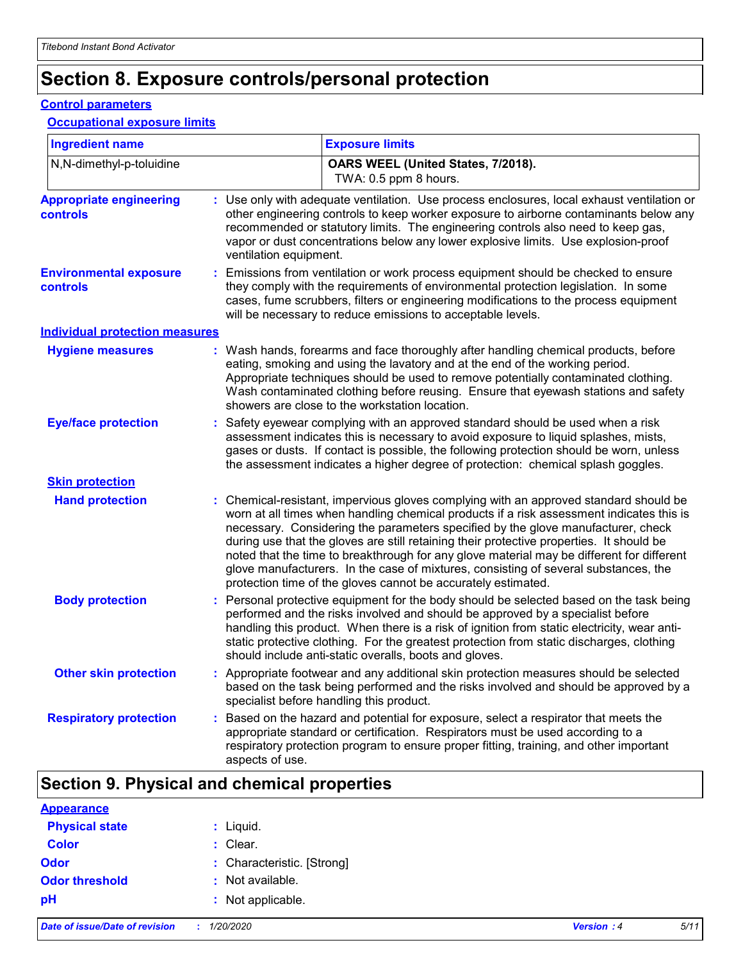### **Section 8. Exposure controls/personal protection**

### **Control parameters**

#### **Occupational exposure limits**

| <b>Ingredient name</b>                            |    |                        | <b>Exposure limits</b>                                                                                                                                                                                                                                                                                                                                                                                                                                                                                                                                                                                                 |
|---------------------------------------------------|----|------------------------|------------------------------------------------------------------------------------------------------------------------------------------------------------------------------------------------------------------------------------------------------------------------------------------------------------------------------------------------------------------------------------------------------------------------------------------------------------------------------------------------------------------------------------------------------------------------------------------------------------------------|
| N,N-dimethyl-p-toluidine                          |    |                        | OARS WEEL (United States, 7/2018).<br>TWA: 0.5 ppm 8 hours.                                                                                                                                                                                                                                                                                                                                                                                                                                                                                                                                                            |
| <b>Appropriate engineering</b><br><b>controls</b> |    | ventilation equipment. | : Use only with adequate ventilation. Use process enclosures, local exhaust ventilation or<br>other engineering controls to keep worker exposure to airborne contaminants below any<br>recommended or statutory limits. The engineering controls also need to keep gas,<br>vapor or dust concentrations below any lower explosive limits. Use explosion-proof                                                                                                                                                                                                                                                          |
| <b>Environmental exposure</b><br>controls         | ÷. |                        | Emissions from ventilation or work process equipment should be checked to ensure<br>they comply with the requirements of environmental protection legislation. In some<br>cases, fume scrubbers, filters or engineering modifications to the process equipment<br>will be necessary to reduce emissions to acceptable levels.                                                                                                                                                                                                                                                                                          |
| <b>Individual protection measures</b>             |    |                        |                                                                                                                                                                                                                                                                                                                                                                                                                                                                                                                                                                                                                        |
| <b>Hygiene measures</b>                           |    |                        | : Wash hands, forearms and face thoroughly after handling chemical products, before<br>eating, smoking and using the lavatory and at the end of the working period.<br>Appropriate techniques should be used to remove potentially contaminated clothing.<br>Wash contaminated clothing before reusing. Ensure that eyewash stations and safety<br>showers are close to the workstation location.                                                                                                                                                                                                                      |
| <b>Eye/face protection</b>                        |    |                        | Safety eyewear complying with an approved standard should be used when a risk<br>assessment indicates this is necessary to avoid exposure to liquid splashes, mists,<br>gases or dusts. If contact is possible, the following protection should be worn, unless<br>the assessment indicates a higher degree of protection: chemical splash goggles.                                                                                                                                                                                                                                                                    |
| <b>Skin protection</b>                            |    |                        |                                                                                                                                                                                                                                                                                                                                                                                                                                                                                                                                                                                                                        |
| <b>Hand protection</b>                            |    |                        | : Chemical-resistant, impervious gloves complying with an approved standard should be<br>worn at all times when handling chemical products if a risk assessment indicates this is<br>necessary. Considering the parameters specified by the glove manufacturer, check<br>during use that the gloves are still retaining their protective properties. It should be<br>noted that the time to breakthrough for any glove material may be different for different<br>glove manufacturers. In the case of mixtures, consisting of several substances, the<br>protection time of the gloves cannot be accurately estimated. |
| <b>Body protection</b>                            |    |                        | : Personal protective equipment for the body should be selected based on the task being<br>performed and the risks involved and should be approved by a specialist before<br>handling this product. When there is a risk of ignition from static electricity, wear anti-<br>static protective clothing. For the greatest protection from static discharges, clothing<br>should include anti-static overalls, boots and gloves.                                                                                                                                                                                         |
| <b>Other skin protection</b>                      |    |                        | : Appropriate footwear and any additional skin protection measures should be selected<br>based on the task being performed and the risks involved and should be approved by a<br>specialist before handling this product.                                                                                                                                                                                                                                                                                                                                                                                              |
| <b>Respiratory protection</b>                     |    | aspects of use.        | : Based on the hazard and potential for exposure, select a respirator that meets the<br>appropriate standard or certification. Respirators must be used according to a<br>respiratory protection program to ensure proper fitting, training, and other important                                                                                                                                                                                                                                                                                                                                                       |

### **Section 9. Physical and chemical properties**

### **Appearance**

| <b>Physical state</b> | : Liquid.                  |
|-----------------------|----------------------------|
| <b>Color</b>          | $:$ Clear.                 |
| <b>Odor</b>           | : Characteristic. [Strong] |
| <b>Odor threshold</b> | : Not available.           |
| рH                    | : Not applicable.          |
|                       |                            |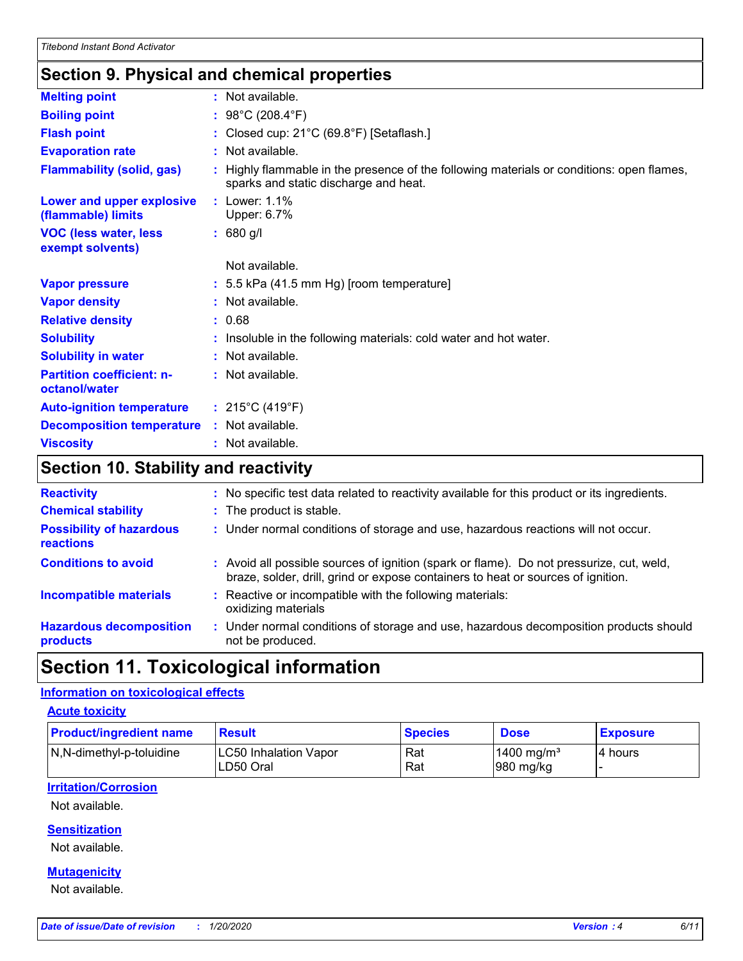### **Section 9. Physical and chemical properties**

| <b>Melting point</b>                              | $:$ Not available.                                                                                                                 |
|---------------------------------------------------|------------------------------------------------------------------------------------------------------------------------------------|
| <b>Boiling point</b>                              | : $98^{\circ}$ C (208.4 $^{\circ}$ F)                                                                                              |
| <b>Flash point</b>                                | : Closed cup: 21°C (69.8°F) [Setaflash.]                                                                                           |
| <b>Evaporation rate</b>                           | : Not available.                                                                                                                   |
| <b>Flammability (solid, gas)</b>                  | : Highly flammable in the presence of the following materials or conditions: open flames,<br>sparks and static discharge and heat. |
| Lower and upper explosive<br>(flammable) limits   | $:$ Lower: 1.1%<br>Upper: 6.7%                                                                                                     |
| VOC (less water, less<br>exempt solvents)         | $: 680$ g/l                                                                                                                        |
|                                                   | Not available.                                                                                                                     |
| <b>Vapor pressure</b>                             | $: 5.5$ kPa (41.5 mm Hg) [room temperature]                                                                                        |
| <b>Vapor density</b>                              | : Not available.                                                                                                                   |
| <b>Relative density</b>                           | : 0.68                                                                                                                             |
| <b>Solubility</b>                                 | : Insoluble in the following materials: cold water and hot water.                                                                  |
| <b>Solubility in water</b>                        | : Not available.                                                                                                                   |
| <b>Partition coefficient: n-</b><br>octanol/water | : Not available.                                                                                                                   |
| <b>Auto-ignition temperature</b>                  | : $215^{\circ}$ C (419 $^{\circ}$ F)                                                                                               |
| <b>Decomposition temperature</b>                  | : Not available.                                                                                                                   |
| <b>Viscosity</b>                                  | $:$ Not available.                                                                                                                 |

### **Section 10. Stability and reactivity**

| <b>Reactivity</b>                            |    | : No specific test data related to reactivity available for this product or its ingredients.                                                                                 |
|----------------------------------------------|----|------------------------------------------------------------------------------------------------------------------------------------------------------------------------------|
| <b>Chemical stability</b>                    |    | : The product is stable.                                                                                                                                                     |
| <b>Possibility of hazardous</b><br>reactions |    | : Under normal conditions of storage and use, hazardous reactions will not occur.                                                                                            |
| <b>Conditions to avoid</b>                   |    | : Avoid all possible sources of ignition (spark or flame). Do not pressurize, cut, weld,<br>braze, solder, drill, grind or expose containers to heat or sources of ignition. |
| <b>Incompatible materials</b>                |    | Reactive or incompatible with the following materials:<br>oxidizing materials                                                                                                |
| <b>Hazardous decomposition</b><br>products   | t. | Under normal conditions of storage and use, hazardous decomposition products should<br>not be produced.                                                                      |

### **Section 11. Toxicological information**

### **Information on toxicological effects**

**Acute toxicity**

| <b>Product/ingredient name</b> | <b>Result</b>                      | <b>Species</b> | <b>Dose</b>                        | <b>Exposure</b> |
|--------------------------------|------------------------------------|----------------|------------------------------------|-----------------|
| N,N-dimethyl-p-toluidine       | LC50 Inhalation Vapor<br>LD50 Oral | Rat<br>Rat     | $1400 \text{ ma/m}^3$<br>980 mg/kg | 14 hours        |

### **Irritation/Corrosion**

Not available.

#### **Sensitization**

Not available.

#### **Mutagenicity**

Not available.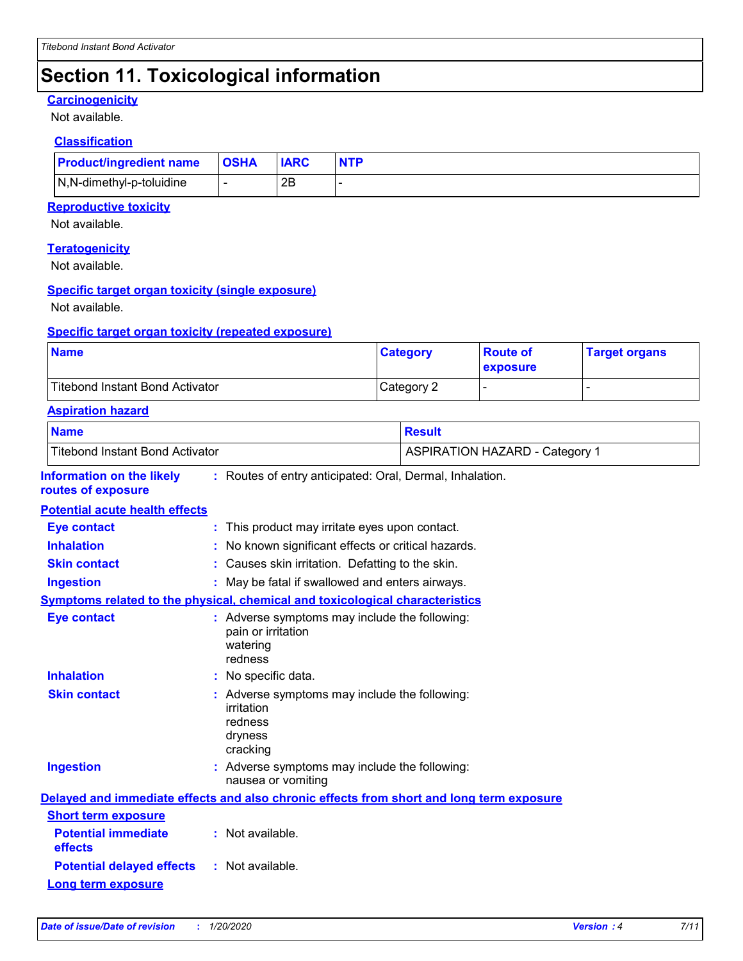### **Section 11. Toxicological information**

#### **Carcinogenicity**

Not available.

#### **Classification**

| <b>Product/ingredient name   OSHA</b> | <b>IARC</b> | <b>NTP</b> |
|---------------------------------------|-------------|------------|
| N,N-dimethyl-p-toluidine              | ΩE          |            |

### **Reproductive toxicity**

Not available.

### **Teratogenicity**

Not available.

### **Specific target organ toxicity (single exposure)**

Not available.

#### **Specific target organ toxicity (repeated exposure)**

| <b>Name</b>                     | <b>Category</b> | <b>Route of</b><br><b>exposure</b> | <b>Target organs</b> |
|---------------------------------|-----------------|------------------------------------|----------------------|
| Titebond Instant Bond Activator | Category 2      |                                    |                      |

#### **Aspiration hazard**

| <b>Name</b>                                            |                                                                                            | <b>Result</b>                                                                            |  |  |  |
|--------------------------------------------------------|--------------------------------------------------------------------------------------------|------------------------------------------------------------------------------------------|--|--|--|
| <b>Titebond Instant Bond Activator</b>                 |                                                                                            | <b>ASPIRATION HAZARD - Category 1</b>                                                    |  |  |  |
| <b>Information on the likely</b><br>routes of exposure | : Routes of entry anticipated: Oral, Dermal, Inhalation.                                   |                                                                                          |  |  |  |
| <b>Potential acute health effects</b>                  |                                                                                            |                                                                                          |  |  |  |
| <b>Eye contact</b>                                     | : This product may irritate eyes upon contact.                                             |                                                                                          |  |  |  |
| <b>Inhalation</b>                                      | : No known significant effects or critical hazards.                                        |                                                                                          |  |  |  |
| <b>Skin contact</b>                                    | Causes skin irritation. Defatting to the skin.                                             |                                                                                          |  |  |  |
| <b>Ingestion</b>                                       | : May be fatal if swallowed and enters airways.                                            |                                                                                          |  |  |  |
|                                                        | Symptoms related to the physical, chemical and toxicological characteristics               |                                                                                          |  |  |  |
| <b>Eye contact</b>                                     | : Adverse symptoms may include the following:<br>pain or irritation<br>watering<br>redness |                                                                                          |  |  |  |
| <b>Inhalation</b>                                      | : No specific data.                                                                        |                                                                                          |  |  |  |
| <b>Skin contact</b>                                    | irritation<br>redness<br>dryness<br>cracking                                               | : Adverse symptoms may include the following:                                            |  |  |  |
| <b>Ingestion</b>                                       | nausea or vomiting                                                                         | : Adverse symptoms may include the following:                                            |  |  |  |
|                                                        |                                                                                            | Delayed and immediate effects and also chronic effects from short and long term exposure |  |  |  |
| <b>Short term exposure</b>                             |                                                                                            |                                                                                          |  |  |  |
| <b>Potential immediate</b><br>effects                  | : Not available.                                                                           |                                                                                          |  |  |  |
| <b>Potential delayed effects</b>                       | : Not available.                                                                           |                                                                                          |  |  |  |
| <b>Long term exposure</b>                              |                                                                                            |                                                                                          |  |  |  |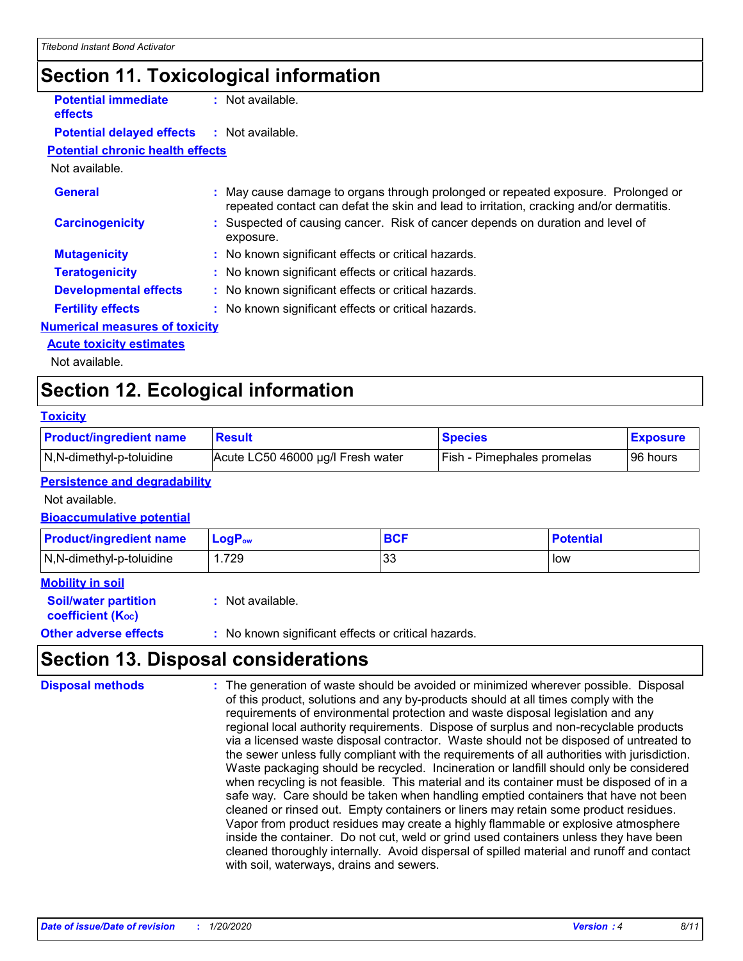### **Section 11. Toxicological information**

| <b>Potential immediate</b> | : Not available. |
|----------------------------|------------------|
| effects                    |                  |

#### **Potential delayed effects :** Not available.

### **Potential chronic health effects**

### Not available.

| <b>General</b>                        | : May cause damage to organs through prolonged or repeated exposure. Prolonged or<br>repeated contact can defat the skin and lead to irritation, cracking and/or dermatitis. |
|---------------------------------------|------------------------------------------------------------------------------------------------------------------------------------------------------------------------------|
| <b>Carcinogenicity</b>                | : Suspected of causing cancer. Risk of cancer depends on duration and level of<br>exposure.                                                                                  |
| <b>Mutagenicity</b>                   | : No known significant effects or critical hazards.                                                                                                                          |
| <b>Teratogenicity</b>                 | : No known significant effects or critical hazards.                                                                                                                          |
| <b>Developmental effects</b>          | : No known significant effects or critical hazards.                                                                                                                          |
| <b>Fertility effects</b>              | : No known significant effects or critical hazards.                                                                                                                          |
| <b>Numerical measures of toxicity</b> |                                                                                                                                                                              |
|                                       |                                                                                                                                                                              |

### **Acute toxicity estimates**

Not available.

### **Section 12. Ecological information**

| <b>Toxicity</b>                |                                   |                                   |                 |
|--------------------------------|-----------------------------------|-----------------------------------|-----------------|
| <b>Product/ingredient name</b> | <b>Result</b>                     | <b>Species</b>                    | <b>Exposure</b> |
| N,N-dimethyl-p-toluidine       | Acute LC50 46000 µg/l Fresh water | <b>Fish - Pimephales promelas</b> | 196 hours       |

#### **Persistence and degradability**

Not available.

### **Bioaccumulative potential**

| <b>Product/ingredient name</b> | $ $ LogP <sub>ow</sub> | <b>BCF</b> | <b>Potential</b> |
|--------------------------------|------------------------|------------|------------------|
| N,N-dimethyl-p-toluidine       | .729،                  | 33         | low              |
| <b>ARALISM</b> . SA A AST      |                        |            |                  |

### **Mobility in soil**

| <b>Soil/water partition</b>    | : Not available.                                    |
|--------------------------------|-----------------------------------------------------|
| coefficient (K <sub>oc</sub> ) |                                                     |
| <b>Other adverse effects</b>   | : No known significant effects or critical hazards. |

### **Section 13. Disposal considerations**

The generation of waste should be avoided or minimized wherever possible. Disposal of this product, solutions and any by-products should at all times comply with the requirements of environmental protection and waste disposal legislation and any regional local authority requirements. Dispose of surplus and non-recyclable products via a licensed waste disposal contractor. Waste should not be disposed of untreated to the sewer unless fully compliant with the requirements of all authorities with jurisdiction. Waste packaging should be recycled. Incineration or landfill should only be considered when recycling is not feasible. This material and its container must be disposed of in a safe way. Care should be taken when handling emptied containers that have not been cleaned or rinsed out. Empty containers or liners may retain some product residues. Vapor from product residues may create a highly flammable or explosive atmosphere inside the container. Do not cut, weld or grind used containers unless they have been cleaned thoroughly internally. Avoid dispersal of spilled material and runoff and contact with soil, waterways, drains and sewers. **Disposal methods :**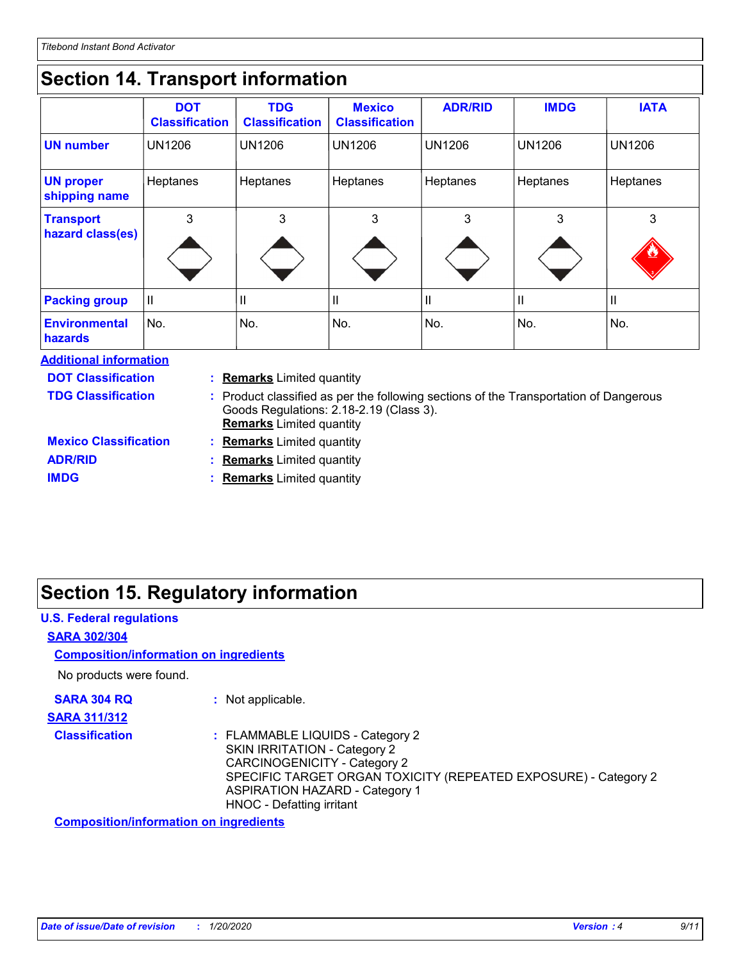### **Section 14. Transport information**

|                                      | <b>DOT</b><br><b>Classification</b> | <b>TDG</b><br><b>Classification</b> | <b>Mexico</b><br><b>Classification</b> | <b>ADR/RID</b> | <b>IMDG</b>   | <b>IATA</b>       |
|--------------------------------------|-------------------------------------|-------------------------------------|----------------------------------------|----------------|---------------|-------------------|
| <b>UN number</b>                     | <b>UN1206</b>                       | <b>UN1206</b>                       | <b>UN1206</b>                          | <b>UN1206</b>  | <b>UN1206</b> | <b>UN1206</b>     |
| <b>UN proper</b><br>shipping name    | Heptanes                            | Heptanes                            | Heptanes                               | Heptanes       | Heptanes      | Heptanes          |
| <b>Transport</b><br>hazard class(es) | 3                                   | 3                                   | 3                                      | 3              | 3             | 3<br>$\mathbf{v}$ |
| <b>Packing group</b>                 | Ш                                   | Ш                                   | Ш                                      | Ш              | $\mathbf{I}$  | H                 |
| <b>Environmental</b><br>hazards      | No.                                 | No.                                 | No.                                    | No.            | No.           | No.               |

**Additional information**

**DOT Classification**

**Remarks** Limited quantity

**TDG Classification**

Product classified as per the following sections of the Transportation of Dangerous **:** Goods Regulations: 2.18-2.19 (Class 3).

**Mexico Classification ADR/RID IMDG**

- **Remarks** Limited quantity **Remarks** Limited quantity
- **Remarks** Limited quantity
- **Remarks** Limited quantity

### **Section 15. Regulatory information**

### **U.S. Federal regulations**

**SARA 302/304**

### **Composition/information on ingredients**

No products were found.

**SARA 304 RQ :** Not applicable.

**SARA 311/312**

**Classification :** FLAMMABLE LIQUIDS - Category 2 SKIN IRRITATION - Category 2 CARCINOGENICITY - Category 2 SPECIFIC TARGET ORGAN TOXICITY (REPEATED EXPOSURE) - Category 2 ASPIRATION HAZARD - Category 1 HNOC - Defatting irritant

**Composition/information on ingredients**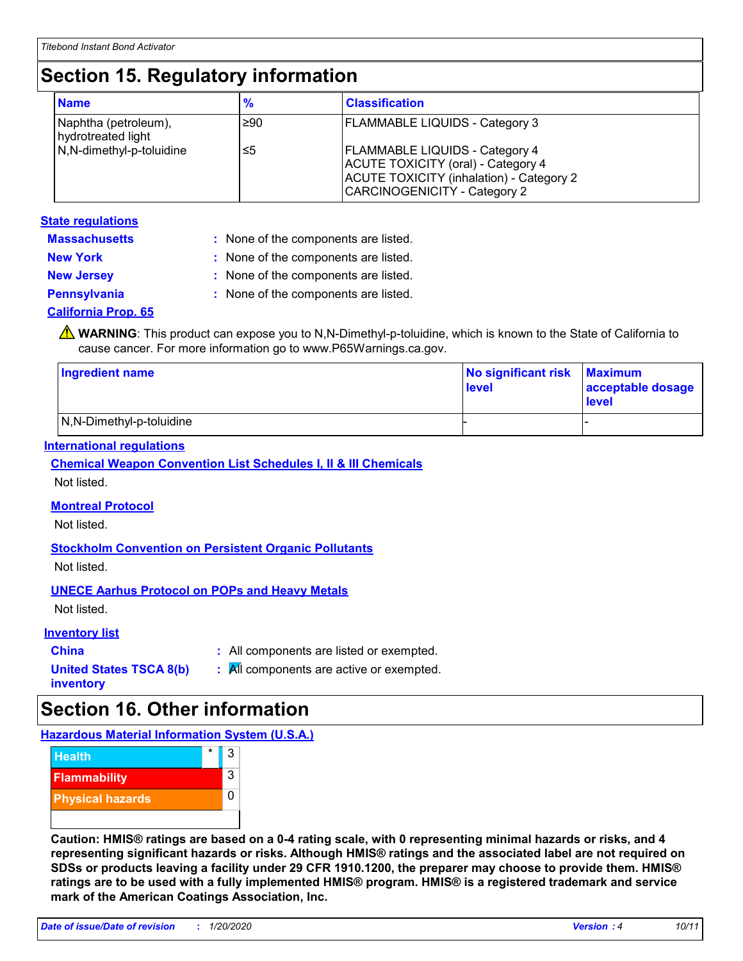### **Section 15. Regulatory information**

| <b>Name</b>                                | $\frac{9}{6}$ | <b>Classification</b>                                                                                                                                                 |
|--------------------------------------------|---------------|-----------------------------------------------------------------------------------------------------------------------------------------------------------------------|
| Naphtha (petroleum),<br>hydrotreated light | ≥90           | <b>FLAMMABLE LIQUIDS - Category 3</b>                                                                                                                                 |
| N,N-dimethyl-p-toluidine                   | ≤5            | <b>FLAMMABLE LIQUIDS - Category 4</b><br><b>ACUTE TOXICITY (oral) - Category 4</b><br><b>ACUTE TOXICITY (inhalation) - Category 2</b><br>CARCINOGENICITY - Category 2 |

#### **Massachusetts : State regulations**

- : None of the components are listed.
- **New York :** None of the components are listed.
- **New Jersey :** None of the components are listed.
- 
- **Pennsylvania :** None of the components are listed.

### **California Prop. 65**

WARNING: This product can expose you to N,N-Dimethyl-p-toluidine, which is known to the State of California to cause cancer. For more information go to www.P65Warnings.ca.gov.

| <b>Ingredient name</b>   | No significant risk<br>level | <b>Maximum</b><br>acceptable dosage<br><b>level</b> |
|--------------------------|------------------------------|-----------------------------------------------------|
| N,N-Dimethyl-p-toluidine |                              |                                                     |

### **International regulations**

#### **Chemical Weapon Convention List Schedules I, II & III Chemicals** Not listed.

### **Montreal Protocol**

Not listed.

### **Stockholm Convention on Persistent Organic Pollutants**

Not listed.

### **UNECE Aarhus Protocol on POPs and Heavy Metals**

Not listed.

### **Inventory list**

**China :** All components are listed or exempted.

| <b>United States TSCA 8(b)</b> |  |
|--------------------------------|--|
| inventory                      |  |

**:** All components are active or exempted.

### **Section 16. Other information**

**Hazardous Material Information System (U.S.A.)**



**Caution: HMIS® ratings are based on a 0-4 rating scale, with 0 representing minimal hazards or risks, and 4 representing significant hazards or risks. Although HMIS® ratings and the associated label are not required on SDSs or products leaving a facility under 29 CFR 1910.1200, the preparer may choose to provide them. HMIS® ratings are to be used with a fully implemented HMIS® program. HMIS® is a registered trademark and service mark of the American Coatings Association, Inc.**